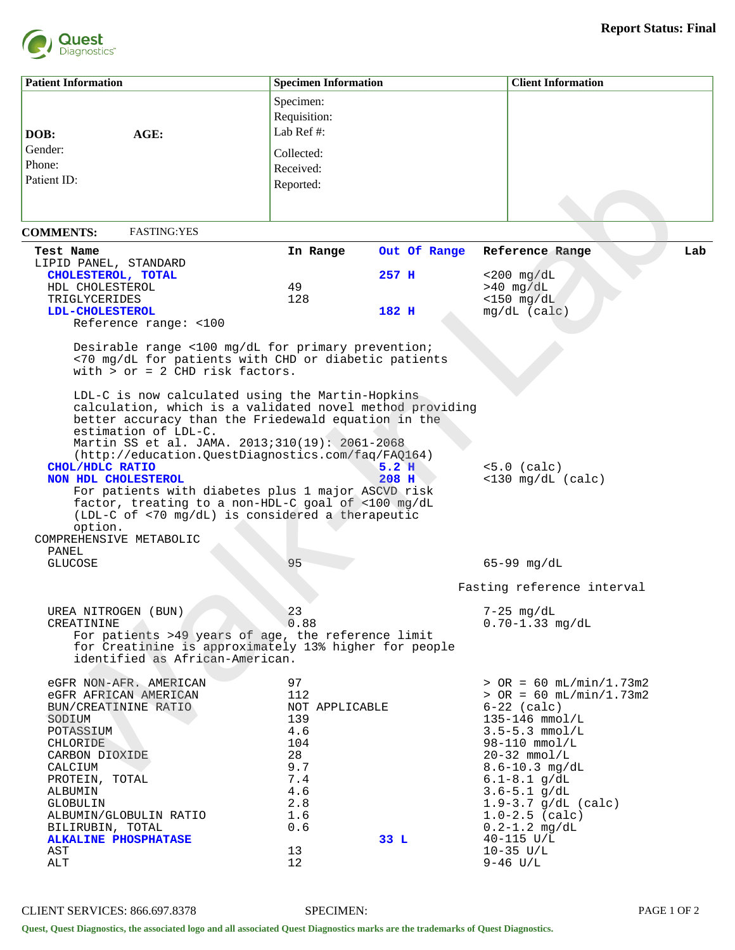

| <b>Patient Information</b>                                                                                                                                                                                                     |                                                                                                                                                                                                                                                                                                                                                                                                                                                                                                                                                                                                                        | <b>Specimen Information</b>                                                                                  |                                  | <b>Client Information</b>                                                                                                                                                                                                                                                                                                                   |     |
|--------------------------------------------------------------------------------------------------------------------------------------------------------------------------------------------------------------------------------|------------------------------------------------------------------------------------------------------------------------------------------------------------------------------------------------------------------------------------------------------------------------------------------------------------------------------------------------------------------------------------------------------------------------------------------------------------------------------------------------------------------------------------------------------------------------------------------------------------------------|--------------------------------------------------------------------------------------------------------------|----------------------------------|---------------------------------------------------------------------------------------------------------------------------------------------------------------------------------------------------------------------------------------------------------------------------------------------------------------------------------------------|-----|
| DOB:<br>Gender:<br>Phone:<br>Patient ID:                                                                                                                                                                                       | AGE:                                                                                                                                                                                                                                                                                                                                                                                                                                                                                                                                                                                                                   | Specimen:<br>Requisition:<br>Lab Ref#:<br>Collected:<br>Received:<br>Reported:                               |                                  |                                                                                                                                                                                                                                                                                                                                             |     |
| <b>COMMENTS:</b>                                                                                                                                                                                                               | <b>FASTING:YES</b>                                                                                                                                                                                                                                                                                                                                                                                                                                                                                                                                                                                                     |                                                                                                              |                                  |                                                                                                                                                                                                                                                                                                                                             |     |
| Test Name<br>LIPID PANEL, STANDARD<br>CHOLESTEROL, TOTAL<br>HDL CHOLESTEROL<br>TRIGLYCERIDES<br>LDL-CHOLESTEROL                                                                                                                | Reference range: <100                                                                                                                                                                                                                                                                                                                                                                                                                                                                                                                                                                                                  | In Range<br>49<br>128                                                                                        | Out Of Range<br>$257$ H<br>182 H | Reference Range<br>$<$ 200 mg/dL<br>$>40$ mg/dL<br>$<$ 150 mg/dL<br>$mg/dL$ (calc)                                                                                                                                                                                                                                                          | Lab |
| CHOL/HDLC RATIO<br>NON HDL CHOLESTEROL<br>option.<br>COMPREHENSIVE METABOLIC                                                                                                                                                   | Desirable range <100 mg/dL for primary prevention;<br><70 mg/dL for patients with CHD or diabetic patients<br>with $>$ or = 2 CHD risk factors.<br>LDL-C is now calculated using the Martin-Hopkins<br>calculation, which is a validated novel method providing<br>better accuracy than the Friedewald equation in the<br>estimation of LDL-C.<br>Martin SS et al. JAMA. 2013;310(19): 2061-2068<br>(http://education.QuestDiagnostics.com/faq/FAQ164)<br>For patients with diabetes plus 1 major ASCVD risk<br>factor, treating to a non-HDL-C goal of <100 mg/dL<br>(LDL-C of <70 mg/dL) is considered a therapeutic |                                                                                                              | 5.2 H<br>208 H                   | $<5.0$ (calc)<br>$<$ 130 mg/dL (calc)                                                                                                                                                                                                                                                                                                       |     |
| PANEL<br><b>GLUCOSE</b>                                                                                                                                                                                                        |                                                                                                                                                                                                                                                                                                                                                                                                                                                                                                                                                                                                                        | 95                                                                                                           |                                  | $65-99$ mg/dL                                                                                                                                                                                                                                                                                                                               |     |
| UREA NITROGEN (BUN)<br>CREATININE                                                                                                                                                                                              | For patients >49 years of age, the reference limit<br>for Creatinine is approximately 13% higher for people<br>identified as African-American.                                                                                                                                                                                                                                                                                                                                                                                                                                                                         | 23<br>0.88                                                                                                   |                                  | Fasting reference interval<br>7-25 mg/dL<br>$0.70 - 1.33$ mg/dL                                                                                                                                                                                                                                                                             |     |
| eGFR AFRICAN AMERICAN<br>BUN/CREATININE RATIO<br>SODIUM<br>POTASSIUM<br><b>CHLORIDE</b><br>CARBON DIOXIDE<br>CALCIUM<br>PROTEIN, TOTAL<br>ALBUMIN<br>GLOBULIN<br>BILIRUBIN, TOTAL<br><b>ALKALINE PHOSPHATASE</b><br>AST<br>ALT | eGFR NON-AFR. AMERICAN<br>ALBUMIN/GLOBULIN RATIO                                                                                                                                                                                                                                                                                                                                                                                                                                                                                                                                                                       | 97<br>112<br>NOT APPLICABLE<br>139<br>4.6<br>104<br>28<br>9.7<br>7.4<br>4.6<br>2.8<br>1.6<br>0.6<br>13<br>12 | 33 L                             | $>$ OR = 60 mL/min/1.73m2<br>$>$ OR = 60 mL/min/1.73m2<br>$6-22$ (calc)<br>$135 - 146$ mmol/L<br>$3.5 - 5.3$ mmol/L<br>98-110 mmol/L<br>$20-32$ mmol/L<br>$8.6 - 10.3$ mg/dL<br>$6.1 - 8.1$ g/dL<br>$3.6 - 5.1$ g/dL<br>$1.9 - 3.7$ g/dL (calc)<br>$1.0 - 2.5$ (calc)<br>$0.2 - 1.2$ mg/dL<br>$40 - 115$ U/L<br>$10-35$ $U/L$<br>$9-46$ U/L |     |